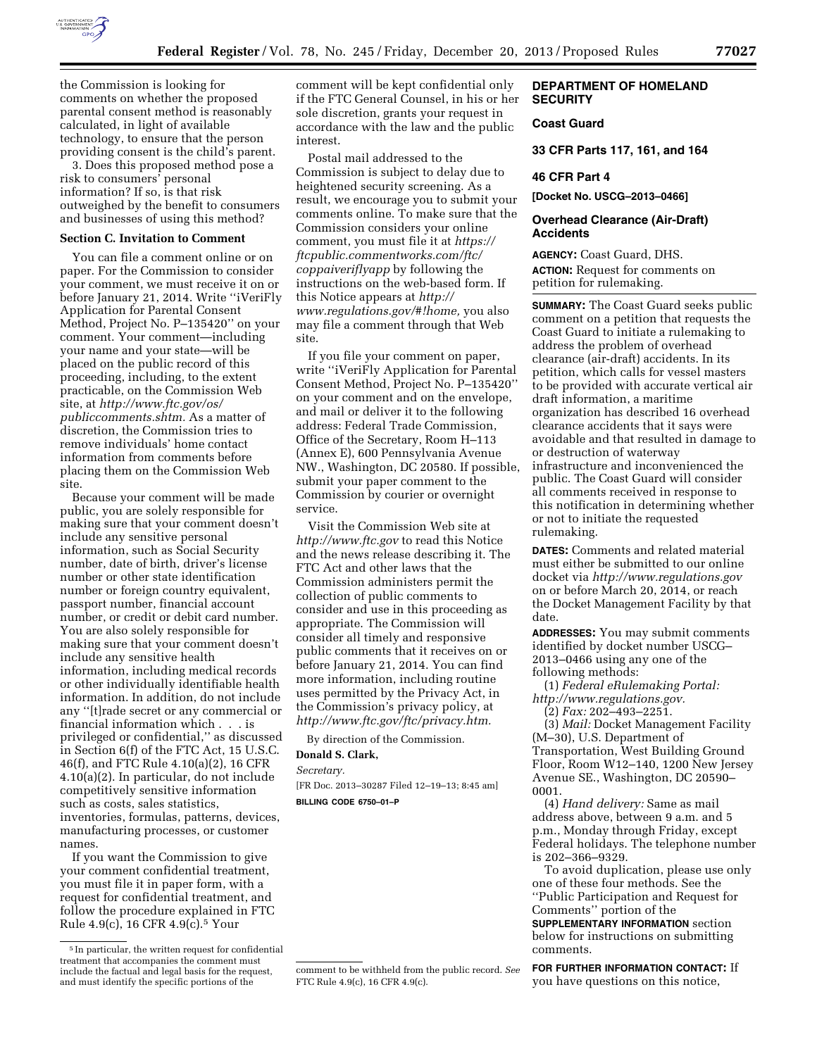

the Commission is looking for comments on whether the proposed parental consent method is reasonably calculated, in light of available technology, to ensure that the person providing consent is the child's parent.

3. Does this proposed method pose a risk to consumers' personal information? If so, is that risk outweighed by the benefit to consumers and businesses of using this method?

#### **Section C. Invitation to Comment**

You can file a comment online or on paper. For the Commission to consider your comment, we must receive it on or before January 21, 2014. Write ''iVeriFly Application for Parental Consent Method, Project No. P–135420'' on your comment. Your comment—including your name and your state—will be placed on the public record of this proceeding, including, to the extent practicable, on the Commission Web site, at *[http://www.ftc.gov/os/](http://www.ftc.gov/os/publiccomments.shtm) [publiccomments.shtm.](http://www.ftc.gov/os/publiccomments.shtm)* As a matter of discretion, the Commission tries to remove individuals' home contact information from comments before placing them on the Commission Web site.

Because your comment will be made public, you are solely responsible for making sure that your comment doesn't include any sensitive personal information, such as Social Security number, date of birth, driver's license number or other state identification number or foreign country equivalent, passport number, financial account number, or credit or debit card number. You are also solely responsible for making sure that your comment doesn't include any sensitive health information, including medical records or other individually identifiable health information. In addition, do not include any ''[t]rade secret or any commercial or financial information which . . . is privileged or confidential,'' as discussed in Section 6(f) of the FTC Act, 15 U.S.C. 46(f), and FTC Rule 4.10(a)(2), 16 CFR 4.10(a)(2). In particular, do not include competitively sensitive information such as costs, sales statistics, inventories, formulas, patterns, devices, manufacturing processes, or customer names.

If you want the Commission to give your comment confidential treatment, you must file it in paper form, with a request for confidential treatment, and follow the procedure explained in FTC Rule 4.9(c), 16 CFR 4.9(c).5 Your

comment will be kept confidential only if the FTC General Counsel, in his or her sole discretion, grants your request in accordance with the law and the public interest.

Postal mail addressed to the Commission is subject to delay due to heightened security screening. As a result, we encourage you to submit your comments online. To make sure that the Commission considers your online comment, you must file it at *[https://](https://ftcpublic.commentworks.com/ftc/coppaiveriflyapp) [ftcpublic.commentworks.com/ftc/](https://ftcpublic.commentworks.com/ftc/coppaiveriflyapp) [coppaiveriflyapp](https://ftcpublic.commentworks.com/ftc/coppaiveriflyapp)* by following the instructions on the web-based form. If this Notice appears at *[http://](http://www.regulations.gov/#!home) [www.regulations.gov/#!home,](http://www.regulations.gov/#!home)* you also may file a comment through that Web site.

If you file your comment on paper, write ''iVeriFly Application for Parental Consent Method, Project No. P–135420'' on your comment and on the envelope, and mail or deliver it to the following address: Federal Trade Commission, Office of the Secretary, Room H–113 (Annex E), 600 Pennsylvania Avenue NW., Washington, DC 20580. If possible, submit your paper comment to the Commission by courier or overnight service.

Visit the Commission Web site at *<http://www.ftc.gov>*to read this Notice and the news release describing it. The FTC Act and other laws that the Commission administers permit the collection of public comments to consider and use in this proceeding as appropriate. The Commission will consider all timely and responsive public comments that it receives on or before January 21, 2014. You can find more information, including routine uses permitted by the Privacy Act, in the Commission's privacy policy, at *[http://www.ftc.gov/ftc/privacy.htm.](http://www.ftc.gov/ftc/privacy.htm)* 

By direction of the Commission.

## **Donald S. Clark,**

*Secretary.* 

[FR Doc. 2013–30287 Filed 12–19–13; 8:45 am] **BILLING CODE 6750–01–P** 

## **DEPARTMENT OF HOMELAND SECURITY**

# **Coast Guard**

**33 CFR Parts 117, 161, and 164** 

## **46 CFR Part 4**

**[Docket No. USCG–2013–0466]** 

## **Overhead Clearance (Air-Draft) Accidents**

**AGENCY:** Coast Guard, DHS. **ACTION:** Request for comments on petition for rulemaking.

**SUMMARY:** The Coast Guard seeks public comment on a petition that requests the Coast Guard to initiate a rulemaking to address the problem of overhead clearance (air-draft) accidents. In its petition, which calls for vessel masters to be provided with accurate vertical air draft information, a maritime organization has described 16 overhead clearance accidents that it says were avoidable and that resulted in damage to or destruction of waterway infrastructure and inconvenienced the public. The Coast Guard will consider all comments received in response to this notification in determining whether or not to initiate the requested rulemaking.

**DATES:** Comments and related material must either be submitted to our online docket via *<http://www.regulations.gov>*  on or before March 20, 2014, or reach the Docket Management Facility by that date.

**ADDRESSES:** You may submit comments identified by docket number USCG– 2013–0466 using any one of the following methods:

(1) *Federal eRulemaking Portal: [http://www.regulations.gov.](http://www.regulations.gov)* 

(2) *Fax:* 202–493–2251.

(3) *Mail:* Docket Management Facility (M–30), U.S. Department of Transportation, West Building Ground Floor, Room W12–140, 1200 New Jersey Avenue SE., Washington, DC 20590– 0001.

(4) *Hand delivery:* Same as mail address above, between 9 a.m. and 5 p.m., Monday through Friday, except Federal holidays. The telephone number is 202–366–9329.

To avoid duplication, please use only one of these four methods. See the ''Public Participation and Request for Comments'' portion of the **SUPPLEMENTARY INFORMATION** section

below for instructions on submitting comments.

**FOR FURTHER INFORMATION CONTACT:** If you have questions on this notice,

FTC Rule 4.9(c), 16 CFR 4.9(c).

<sup>5</sup> In particular, the written request for confidential treatment that accompanies the comment must include the factual and legal basis for the request, and must identify the specific portions of the

comment to be withheld from the public record. *See*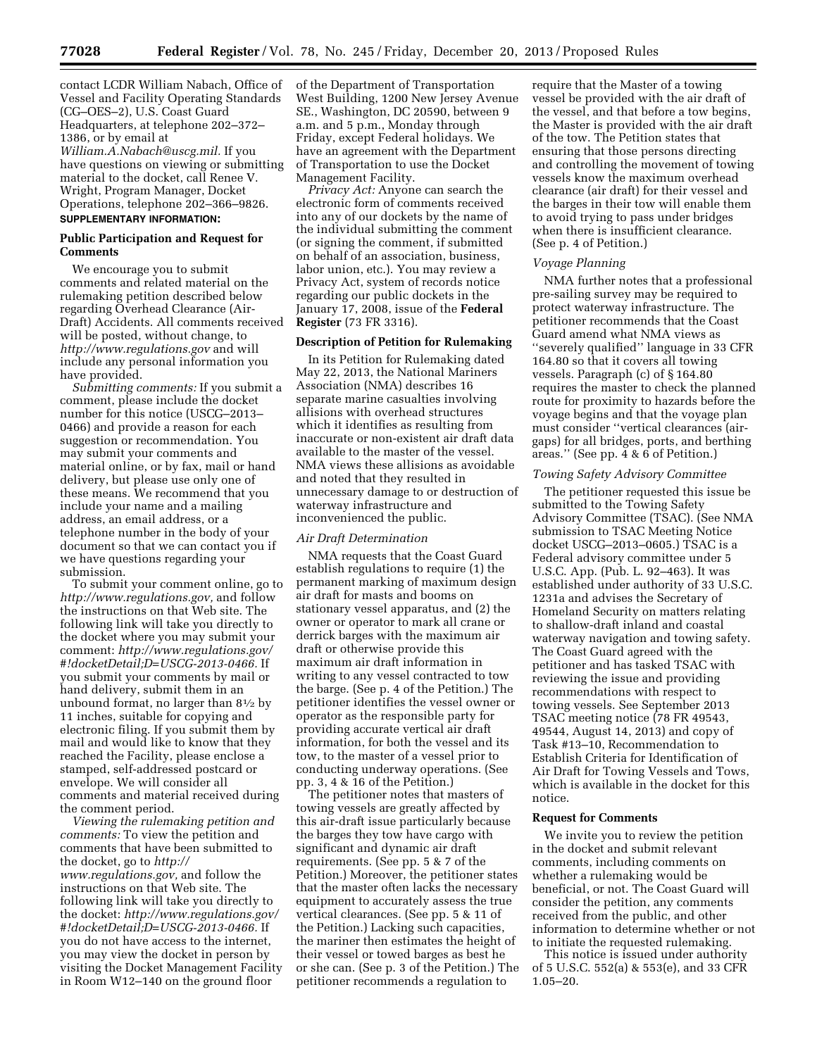contact LCDR William Nabach, Office of Vessel and Facility Operating Standards (CG–OES–2), U.S. Coast Guard Headquarters, at telephone 202–372– 1386, or by email at *[William.A.Nabach@uscg.mil.](mailto:William.A.Nabach@uscg.mil)* If you have questions on viewing or submitting material to the docket, call Renee V. Wright, Program Manager, Docket Operations, telephone 202–366–9826.

#### **SUPPLEMENTARY INFORMATION:**

## **Public Participation and Request for Comments**

We encourage you to submit comments and related material on the rulemaking petition described below regarding Overhead Clearance (Air-Draft) Accidents. All comments received will be posted, without change, to *<http://www.regulations.gov>* and will include any personal information you have provided.

*Submitting comments:* If you submit a comment, please include the docket number for this notice (USCG–2013– 0466) and provide a reason for each suggestion or recommendation. You may submit your comments and material online, or by fax, mail or hand delivery, but please use only one of these means. We recommend that you include your name and a mailing address, an email address, or a telephone number in the body of your document so that we can contact you if we have questions regarding your submission.

To submit your comment online, go to *[http://www.regulations.gov,](http://www.regulations.gov)* and follow the instructions on that Web site. The following link will take you directly to the docket where you may submit your comment: *[http://www.regulations.gov/](http://www.regulations.gov/#!docketDetail;D=USCG-2013-0466) [#!docketDetail;D=USCG-2013-0466.](http://www.regulations.gov/#!docketDetail;D=USCG-2013-0466)* If you submit your comments by mail or hand delivery, submit them in an unbound format, no larger than  $8\frac{1}{2}$  by 11 inches, suitable for copying and electronic filing. If you submit them by mail and would like to know that they reached the Facility, please enclose a stamped, self-addressed postcard or envelope. We will consider all comments and material received during the comment period.

*Viewing the rulemaking petition and comments:* To view the petition and comments that have been submitted to the docket, go to *[http://](http://www.regulations.gov) [www.regulations.gov,](http://www.regulations.gov)* and follow the instructions on that Web site. The following link will take you directly to the docket: *[http://www.regulations.gov/](http://www.regulations.gov/#!docketDetail;D=USCG-2013-0466) [#!docketDetail;D=USCG-2013-0466.](http://www.regulations.gov/#!docketDetail;D=USCG-2013-0466)* If you do not have access to the internet, you may view the docket in person by visiting the Docket Management Facility in Room W12–140 on the ground floor

of the Department of Transportation West Building, 1200 New Jersey Avenue SE., Washington, DC 20590, between 9 a.m. and 5 p.m., Monday through Friday, except Federal holidays. We have an agreement with the Department of Transportation to use the Docket Management Facility.

*Privacy Act:* Anyone can search the electronic form of comments received into any of our dockets by the name of the individual submitting the comment (or signing the comment, if submitted on behalf of an association, business, labor union, etc.). You may review a Privacy Act, system of records notice regarding our public dockets in the January 17, 2008, issue of the **Federal Register** (73 FR 3316).

## **Description of Petition for Rulemaking**

In its Petition for Rulemaking dated May 22, 2013, the National Mariners Association (NMA) describes 16 separate marine casualties involving allisions with overhead structures which it identifies as resulting from inaccurate or non-existent air draft data available to the master of the vessel. NMA views these allisions as avoidable and noted that they resulted in unnecessary damage to or destruction of waterway infrastructure and inconvenienced the public.

#### *Air Draft Determination*

NMA requests that the Coast Guard establish regulations to require (1) the permanent marking of maximum design air draft for masts and booms on stationary vessel apparatus, and (2) the owner or operator to mark all crane or derrick barges with the maximum air draft or otherwise provide this maximum air draft information in writing to any vessel contracted to tow the barge. (See p. 4 of the Petition.) The petitioner identifies the vessel owner or operator as the responsible party for providing accurate vertical air draft information, for both the vessel and its tow, to the master of a vessel prior to conducting underway operations. (See pp. 3, 4 & 16 of the Petition.)

The petitioner notes that masters of towing vessels are greatly affected by this air-draft issue particularly because the barges they tow have cargo with significant and dynamic air draft requirements. (See pp. 5 & 7 of the Petition.) Moreover, the petitioner states that the master often lacks the necessary equipment to accurately assess the true vertical clearances. (See pp. 5 & 11 of the Petition.) Lacking such capacities, the mariner then estimates the height of their vessel or towed barges as best he or she can. (See p. 3 of the Petition.) The petitioner recommends a regulation to

require that the Master of a towing vessel be provided with the air draft of the vessel, and that before a tow begins, the Master is provided with the air draft of the tow. The Petition states that ensuring that those persons directing and controlling the movement of towing vessels know the maximum overhead clearance (air draft) for their vessel and the barges in their tow will enable them to avoid trying to pass under bridges when there is insufficient clearance. (See p. 4 of Petition.)

#### *Voyage Planning*

NMA further notes that a professional pre-sailing survey may be required to protect waterway infrastructure. The petitioner recommends that the Coast Guard amend what NMA views as ''severely qualified'' language in 33 CFR 164.80 so that it covers all towing vessels. Paragraph (c) of § 164.80 requires the master to check the planned route for proximity to hazards before the voyage begins and that the voyage plan must consider ''vertical clearances (airgaps) for all bridges, ports, and berthing areas.'' (See pp. 4 & 6 of Petition.)

### *Towing Safety Advisory Committee*

The petitioner requested this issue be submitted to the Towing Safety Advisory Committee (TSAC). (See NMA submission to TSAC Meeting Notice docket USCG–2013–0605.) TSAC is a Federal advisory committee under 5 U.S.C. App. (Pub. L. 92–463). It was established under authority of 33 U.S.C. 1231a and advises the Secretary of Homeland Security on matters relating to shallow-draft inland and coastal waterway navigation and towing safety. The Coast Guard agreed with the petitioner and has tasked TSAC with reviewing the issue and providing recommendations with respect to towing vessels. See September 2013 TSAC meeting notice (78 FR 49543, 49544, August 14, 2013) and copy of Task #13–10, Recommendation to Establish Criteria for Identification of Air Draft for Towing Vessels and Tows, which is available in the docket for this notice.

#### **Request for Comments**

We invite you to review the petition in the docket and submit relevant comments, including comments on whether a rulemaking would be beneficial, or not. The Coast Guard will consider the petition, any comments received from the public, and other information to determine whether or not to initiate the requested rulemaking.

This notice is issued under authority of 5 U.S.C. 552(a) & 553(e), and 33 CFR 1.05–20.